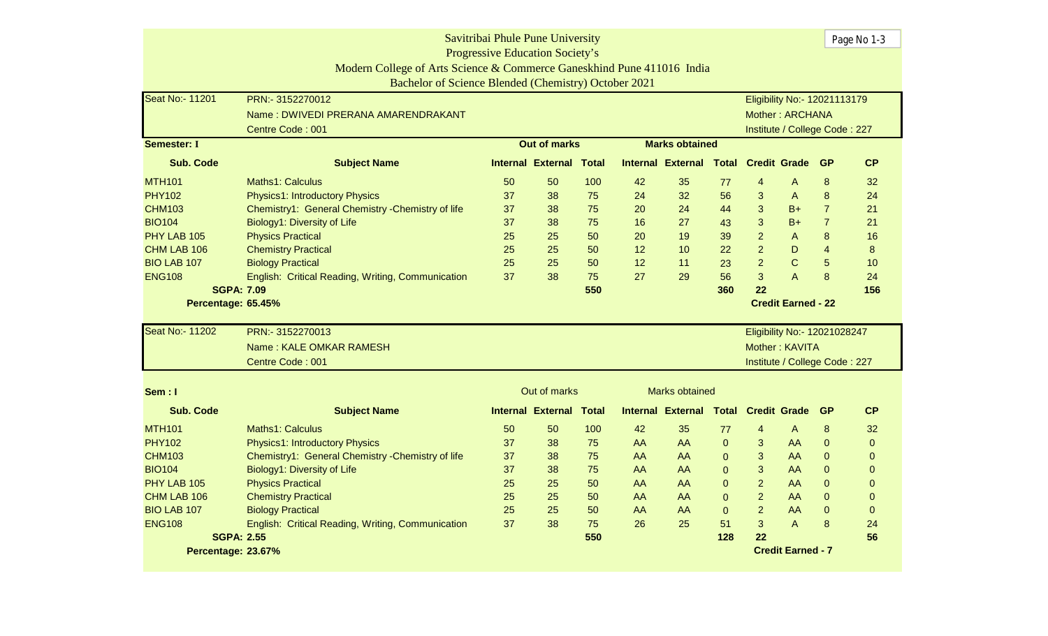| Savitribai Phule Pune University                                                                          |                                                                                                                       |                                        |                          |              |    |                          |              |                |                               |                              | Page No 1-3    |  |
|-----------------------------------------------------------------------------------------------------------|-----------------------------------------------------------------------------------------------------------------------|----------------------------------------|--------------------------|--------------|----|--------------------------|--------------|----------------|-------------------------------|------------------------------|----------------|--|
|                                                                                                           |                                                                                                                       | <b>Progressive Education Society's</b> |                          |              |    |                          |              |                |                               |                              |                |  |
|                                                                                                           | Modern College of Arts Science & Commerce Ganeskhind Pune 411016 India                                                |                                        |                          |              |    |                          |              |                |                               |                              |                |  |
|                                                                                                           | Bachelor of Science Blended (Chemistry) October 2021                                                                  |                                        |                          |              |    |                          |              |                |                               |                              |                |  |
| Seat No:- 11201                                                                                           | PRN:- 3152270012                                                                                                      |                                        |                          |              |    |                          |              |                | Eligibility No:- 12021113179  |                              |                |  |
|                                                                                                           | Name: DWIVEDI PRERANA AMARENDRAKANT                                                                                   |                                        |                          |              |    |                          |              |                | Mother: ARCHANA               |                              |                |  |
|                                                                                                           | Centre Code: 001                                                                                                      |                                        |                          |              |    |                          |              |                | Institute / College Code: 227 |                              |                |  |
| <b>Semester: I</b>                                                                                        |                                                                                                                       |                                        | <b>Out of marks</b>      |              |    | <b>Marks obtained</b>    |              |                |                               |                              |                |  |
| <b>Sub. Code</b>                                                                                          | <b>Subject Name</b>                                                                                                   |                                        | <b>Internal External</b> | <b>Total</b> |    | <b>Internal External</b> | Total        |                | <b>Credit Grade</b>           | <b>GP</b>                    | <b>CP</b>      |  |
| <b>MTH101</b>                                                                                             | Maths1: Calculus                                                                                                      | 50                                     | 50                       | 100          | 42 | 35                       | 77           | 4              | A                             | 8                            | 32             |  |
| <b>PHY102</b>                                                                                             | Physics1: Introductory Physics                                                                                        | 37                                     | 38                       | 75           | 24 | 32                       | 56           | $\mathbf{3}$   | A                             | 8                            | 24             |  |
| <b>CHM103</b>                                                                                             | Chemistry1: General Chemistry - Chemistry of life                                                                     | 37                                     | 38                       | 75           | 20 | 24                       | 44           | 3              | $B+$                          | $\overline{7}$               | 21             |  |
| <b>BIO104</b>                                                                                             | Biology1: Diversity of Life                                                                                           | 37                                     | 38                       | 75           | 16 | 27                       | 43           | 3              | $B+$                          | $\overline{7}$               | 21             |  |
| PHY LAB 105                                                                                               | <b>Physics Practical</b>                                                                                              | 25                                     | 25                       | 50           | 20 | 19                       | 39           | $\overline{2}$ | A                             | 8                            | 16             |  |
| CHM LAB 106                                                                                               | <b>Chemistry Practical</b>                                                                                            | 25                                     | 25                       | 50           | 12 | 10                       | 22           | $\overline{2}$ | D                             | $\overline{\mathbf{4}}$<br>5 | $\bf 8$        |  |
| $\overline{2}$<br>C<br>25<br><b>BIO LAB 107</b><br><b>Biology Practical</b><br>25<br>50<br>12<br>11<br>23 |                                                                                                                       |                                        |                          |              |    |                          |              |                |                               |                              |                |  |
|                                                                                                           | 3<br>8<br><b>ENG108</b><br>37<br>38<br>75<br>27<br>29<br>56<br>A<br>English: Critical Reading, Writing, Communication |                                        |                          |              |    |                          |              |                |                               |                              |                |  |
|                                                                                                           | <b>SGPA: 7.09</b>                                                                                                     |                                        |                          | 550          |    |                          | 360          | 22             |                               |                              | 156            |  |
| Percentage: 65.45%                                                                                        |                                                                                                                       |                                        |                          |              |    |                          |              |                | <b>Credit Earned - 22</b>     |                              |                |  |
| <b>Seat No:- 11202</b>                                                                                    | PRN:- 3152270013                                                                                                      |                                        |                          |              |    |                          |              |                | Eligibility No:- 12021028247  |                              |                |  |
|                                                                                                           | Name: KALE OMKAR RAMESH                                                                                               |                                        |                          |              |    |                          |              |                | Mother: KAVITA                |                              |                |  |
|                                                                                                           | Centre Code: 001                                                                                                      |                                        |                          |              |    |                          |              |                | Institute / College Code: 227 |                              |                |  |
|                                                                                                           |                                                                                                                       |                                        |                          |              |    |                          |              |                |                               |                              |                |  |
| Sem: I                                                                                                    |                                                                                                                       |                                        | Out of marks             |              |    | <b>Marks obtained</b>    |              |                |                               |                              |                |  |
| <b>Sub. Code</b>                                                                                          | <b>Subject Name</b>                                                                                                   |                                        | Internal External        | <b>Total</b> |    | Internal External        | <b>Total</b> |                | <b>Credit Grade</b>           | <b>GP</b>                    | <b>CP</b>      |  |
| <b>MTH101</b>                                                                                             | <b>Maths1: Calculus</b>                                                                                               | 50                                     | 50                       | 100          | 42 | 35                       | 77           | 4              | $\mathsf{A}$                  | 8                            | 32             |  |
| <b>PHY102</b>                                                                                             | Physics1: Introductory Physics                                                                                        | 37                                     | 38                       | 75           | AA | AA                       | $\mathbf{0}$ | 3              | AA                            | $\mathbf 0$                  | $\overline{0}$ |  |
| <b>CHM103</b>                                                                                             | Chemistry1: General Chemistry - Chemistry of life                                                                     | 37                                     | 38                       | 75           | AA | AA                       | $\Omega$     | 3              | AA                            | $\mathbf 0$                  | 0              |  |
| <b>BIO104</b>                                                                                             | Biology1: Diversity of Life                                                                                           | 37                                     | 38                       | 75           | AA | AA                       | $\mathbf 0$  | 3              | AA                            | $\mathbf 0$                  | $\overline{0}$ |  |
| PHY LAB 105                                                                                               | <b>Physics Practical</b>                                                                                              | 25                                     | 25                       | 50           | AA | AA                       | $\Omega$     | $\overline{2}$ | AA                            | $\overline{0}$               | $\overline{0}$ |  |
| CHM LAB 106                                                                                               | <b>Chemistry Practical</b>                                                                                            | 25                                     | 25                       | 50           | AA | AA                       | $\Omega$     | $\overline{2}$ | AA                            | $\overline{0}$               | $\mathbf{0}$   |  |
| <b>BIO LAB 107</b>                                                                                        | <b>Biology Practical</b>                                                                                              | 25                                     | 25                       | 50           | AA | AA                       | $\mathbf{0}$ | $\overline{2}$ | AA                            | $\mathbf 0$                  | $\mathbf 0$    |  |
| <b>ENG108</b>                                                                                             | English: Critical Reading, Writing, Communication                                                                     | 37                                     | 38                       | 75           | 26 | 25                       | 51           | 3              | $\overline{A}$                | 8                            | 24             |  |
|                                                                                                           | <b>SGPA: 2.55</b>                                                                                                     |                                        |                          | 550          |    |                          | 128          | 22             |                               |                              | 56             |  |
| Percentage: 23.67%                                                                                        |                                                                                                                       |                                        |                          |              |    |                          |              |                | <b>Credit Earned - 7</b>      |                              |                |  |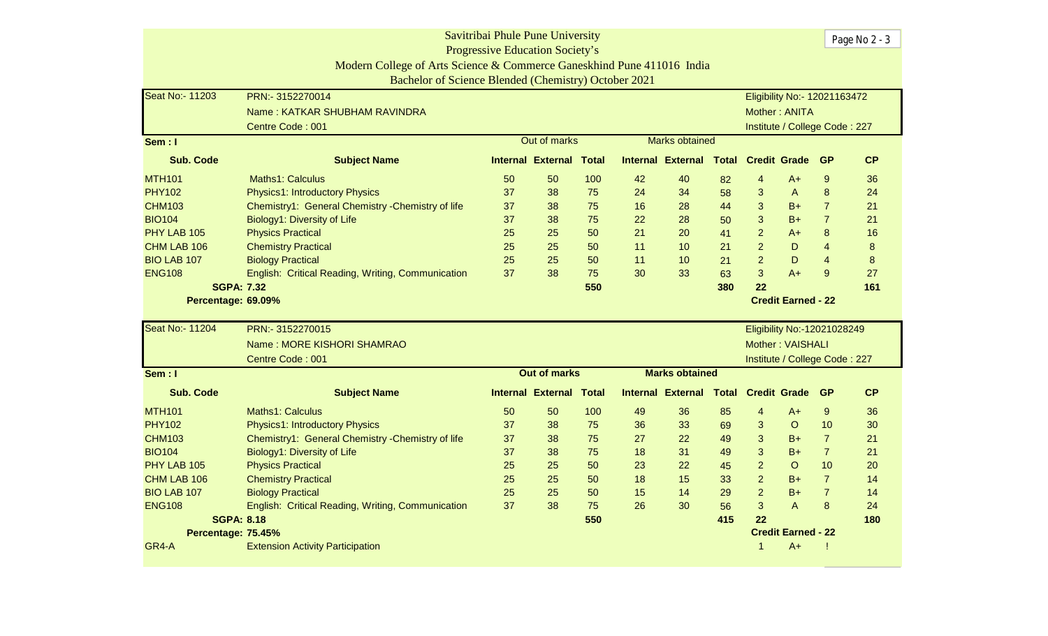| Savitribai Phule Pune University                                                                                                      |                                                                        |                                        |                                |              |    |                          |     |                           |                               |                  | Page No 2 - 3 |
|---------------------------------------------------------------------------------------------------------------------------------------|------------------------------------------------------------------------|----------------------------------------|--------------------------------|--------------|----|--------------------------|-----|---------------------------|-------------------------------|------------------|---------------|
|                                                                                                                                       |                                                                        | <b>Progressive Education Society's</b> |                                |              |    |                          |     |                           |                               |                  |               |
|                                                                                                                                       | Modern College of Arts Science & Commerce Ganeskhind Pune 411016 India |                                        |                                |              |    |                          |     |                           |                               |                  |               |
|                                                                                                                                       | Bachelor of Science Blended (Chemistry) October 2021                   |                                        |                                |              |    |                          |     |                           |                               |                  |               |
| Seat No:- 11203                                                                                                                       | PRN:- 3152270014                                                       |                                        |                                |              |    |                          |     |                           | Eligibility No:- 12021163472  |                  |               |
|                                                                                                                                       | Name: KATKAR SHUBHAM RAVINDRA                                          |                                        |                                |              |    |                          |     |                           | Mother: ANITA                 |                  |               |
|                                                                                                                                       | Centre Code: 001                                                       |                                        |                                |              |    |                          |     |                           | Institute / College Code: 227 |                  |               |
| Sem: I                                                                                                                                |                                                                        |                                        | Out of marks                   |              |    | <b>Marks obtained</b>    |     |                           |                               |                  |               |
| <b>Sub. Code</b>                                                                                                                      | <b>Subject Name</b>                                                    |                                        | <b>Internal External</b>       | <b>Total</b> |    | <b>Internal External</b> |     | <b>Total Credit Grade</b> |                               | <b>GP</b>        | CP            |
| <b>MTH101</b>                                                                                                                         | Maths1: Calculus                                                       | 50                                     | 50                             | 100          | 42 | 40                       | 82  | $\overline{4}$            | $A+$                          | $\boldsymbol{9}$ | 36            |
| <b>PHY102</b>                                                                                                                         | Physics1: Introductory Physics                                         | 37                                     | 38                             | 75           | 24 | 34                       | 58  | 3                         | A                             | 8                | 24            |
| <b>CHM103</b>                                                                                                                         | Chemistry1: General Chemistry - Chemistry of life                      | 37                                     | 38                             | 75           | 16 | 28                       | 44  | 3                         | $B+$                          | $\overline{7}$   | 21            |
| <b>BIO104</b>                                                                                                                         | Biology1: Diversity of Life                                            | 37                                     | 38                             | 75           | 22 | 28                       | 50  | 3                         | $B+$                          | $\overline{7}$   | 21            |
| PHY LAB 105                                                                                                                           | <b>Physics Practical</b>                                               | 25                                     | 25                             | 50           | 21 | 20                       | 41  | $\overline{a}$            | A+                            | 8                | 16            |
| CHM LAB 106                                                                                                                           | <b>Chemistry Practical</b>                                             | 25                                     | 25                             | 50           | 11 | 10                       | 21  | $\overline{2}$            | D                             | $\overline{4}$   | 8             |
| 25<br>$\overline{2}$<br>D<br>$\overline{4}$<br><b>BIO LAB 107</b><br><b>Biology Practical</b><br>25<br>50<br>11<br>10<br>21           |                                                                        |                                        |                                |              |    |                          |     |                           |                               |                  |               |
| $\overline{3}$<br><b>ENG108</b><br>37<br>38<br>75<br>30<br>33<br>$A+$<br>9<br>English: Critical Reading, Writing, Communication<br>63 |                                                                        |                                        |                                |              |    |                          |     |                           |                               |                  |               |
| <b>SGPA: 7.32</b>                                                                                                                     |                                                                        |                                        |                                | 550          |    |                          | 380 | 22                        |                               |                  | 161           |
| Percentage: 69.09%                                                                                                                    |                                                                        |                                        |                                |              |    |                          |     |                           | <b>Credit Earned - 22</b>     |                  |               |
| Seat No:- 11204                                                                                                                       | PRN:- 3152270015                                                       |                                        |                                |              |    |                          |     |                           | Eligibility No:-12021028249   |                  |               |
|                                                                                                                                       | Name: MORE KISHORI SHAMRAO                                             |                                        |                                |              |    |                          |     |                           | <b>Mother: VAISHALI</b>       |                  |               |
|                                                                                                                                       | Centre Code: 001                                                       |                                        |                                |              |    |                          |     |                           | Institute / College Code: 227 |                  |               |
| Sem : I                                                                                                                               |                                                                        |                                        | <b>Out of marks</b>            |              |    | <b>Marks obtained</b>    |     |                           |                               |                  |               |
| <b>Sub. Code</b>                                                                                                                      | <b>Subject Name</b>                                                    |                                        | <b>Internal External Total</b> |              |    | <b>Internal External</b> |     | <b>Total Credit Grade</b> |                               | <b>GP</b>        | CP            |
| <b>MTH101</b>                                                                                                                         | Maths1: Calculus                                                       | 50                                     | 50                             | 100          | 49 | 36                       | 85  | $\overline{4}$            | $A+$                          | $9\,$            | 36            |
| <b>PHY102</b>                                                                                                                         | <b>Physics1: Introductory Physics</b>                                  | 37                                     | 38                             | 75           | 36 | 33                       | 69  | 3                         | $\circ$                       | 10               | 30            |
| <b>CHM103</b>                                                                                                                         | Chemistry1: General Chemistry - Chemistry of life                      | 37                                     | 38                             | 75           | 27 | 22                       | 49  | 3                         | $B+$                          | $\overline{7}$   | 21            |
| <b>BIO104</b>                                                                                                                         | Biology1: Diversity of Life                                            | 37                                     | 38                             | 75           | 18 | 31                       | 49  | 3                         | $B+$                          | $\overline{7}$   | 21            |
| PHY LAB 105                                                                                                                           | <b>Physics Practical</b>                                               | 25                                     | 25                             | 50           | 23 | 22                       | 45  | $\overline{2}$            | $\circ$                       | 10               | 20            |
| CHM LAB 106                                                                                                                           | <b>Chemistry Practical</b>                                             | 25                                     | 25                             | 50           | 18 | 15                       | 33  | $\overline{2}$            | $B+$                          | $\overline{7}$   | 14            |
| BIO LAB 107                                                                                                                           | <b>Biology Practical</b>                                               | 25                                     | 25                             | 50           | 15 | 14                       | 29  | $\overline{2}$            | $B+$                          | $\overline{7}$   | 14            |
| <b>ENG108</b>                                                                                                                         | English: Critical Reading, Writing, Communication                      | 37                                     | 38                             | 75           | 26 | 30                       | 56  | $\overline{3}$            | $\mathsf A$                   | 8                | 24            |
| <b>SGPA: 8.18</b>                                                                                                                     |                                                                        |                                        |                                | 550          |    |                          | 415 | 22                        |                               |                  | 180           |
|                                                                                                                                       |                                                                        |                                        |                                |              |    |                          |     |                           |                               |                  |               |
| Percentage: 75.45%                                                                                                                    |                                                                        |                                        |                                |              |    |                          |     |                           | <b>Credit Earned - 22</b>     |                  |               |
| GR4-A                                                                                                                                 | <b>Extension Activity Participation</b>                                |                                        |                                |              |    |                          |     |                           | $A+$                          |                  |               |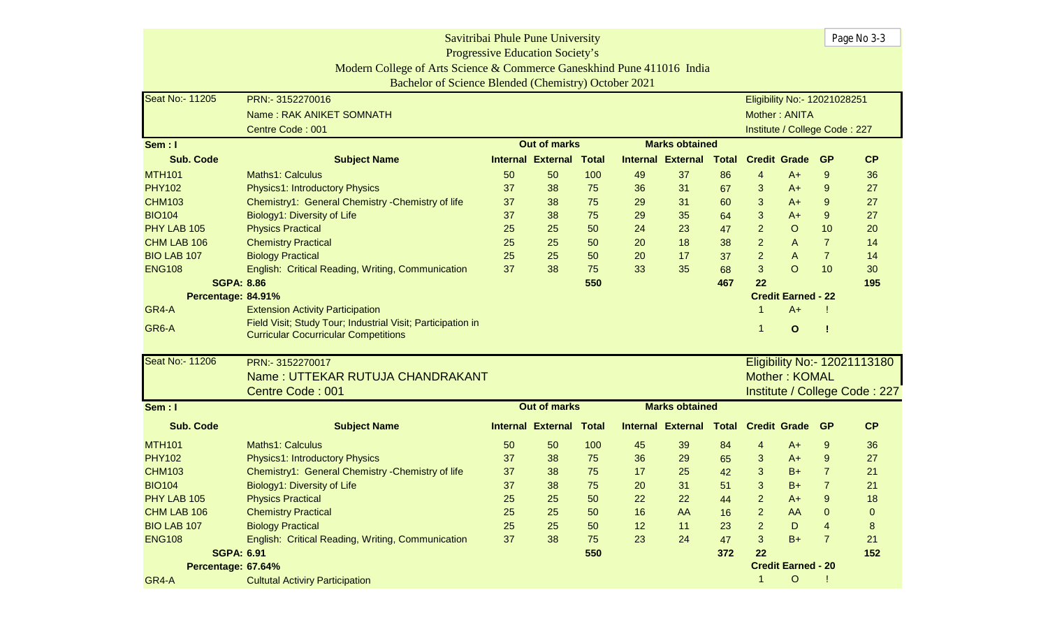| Savitribai Phule Pune University |                                                                        |    |                                        |              |    |                          |              |                |                               |                  | Page No 3-3                   |  |  |
|----------------------------------|------------------------------------------------------------------------|----|----------------------------------------|--------------|----|--------------------------|--------------|----------------|-------------------------------|------------------|-------------------------------|--|--|
|                                  |                                                                        |    | <b>Progressive Education Society's</b> |              |    |                          |              |                |                               |                  |                               |  |  |
|                                  | Modern College of Arts Science & Commerce Ganeskhind Pune 411016 India |    |                                        |              |    |                          |              |                |                               |                  |                               |  |  |
|                                  | Bachelor of Science Blended (Chemistry) October 2021                   |    |                                        |              |    |                          |              |                |                               |                  |                               |  |  |
| <b>Seat No:- 11205</b>           | PRN:-3152270016                                                        |    |                                        |              |    |                          |              |                | Eligibility No:- 12021028251  |                  |                               |  |  |
|                                  | Name: RAK ANIKET SOMNATH                                               |    |                                        |              |    |                          |              |                | Mother: ANITA                 |                  |                               |  |  |
|                                  | Centre Code: 001                                                       |    |                                        |              |    |                          |              |                | Institute / College Code: 227 |                  |                               |  |  |
| Sem : I                          |                                                                        |    | <b>Out of marks</b>                    |              |    | <b>Marks obtained</b>    |              |                |                               |                  |                               |  |  |
| <b>Sub. Code</b>                 | <b>Subject Name</b>                                                    |    | <b>Internal External</b>               | <b>Total</b> |    | <b>Internal External</b> | <b>Total</b> |                | <b>Credit Grade</b>           | <b>GP</b>        | CP                            |  |  |
| <b>MTH101</b>                    | <b>Maths1: Calculus</b>                                                | 50 | 50                                     | 100          | 49 | 37                       | 86           | 4              | A+                            | 9                | 36                            |  |  |
| <b>PHY102</b>                    | <b>Physics1: Introductory Physics</b>                                  | 37 | 38                                     | 75           | 36 | 31                       | 67           | 3              | $A+$                          | 9                | 27                            |  |  |
| <b>CHM103</b>                    | Chemistry1: General Chemistry - Chemistry of life                      | 37 | 38                                     | 75           | 29 | 31                       | 60           | 3              | $A+$                          | 9                | 27                            |  |  |
| <b>BIO104</b>                    | Biology1: Diversity of Life                                            | 37 | 38                                     | 75           | 29 | 35                       | 64           | $\mathbf{3}$   | $A+$                          | $\boldsymbol{9}$ | 27                            |  |  |
| PHY LAB 105                      | <b>Physics Practical</b>                                               | 25 | 25                                     | 50           | 24 | 23                       | 47           | $\overline{2}$ | $\circ$                       | 10               | 20                            |  |  |
| CHM LAB 106                      | <b>Chemistry Practical</b>                                             | 25 | 25                                     | 50           | 20 | 18                       | 38           | $\overline{a}$ | A                             | $\overline{7}$   | 14                            |  |  |
| <b>BIO LAB 107</b>               | <b>Biology Practical</b>                                               | 25 | 25                                     | 50           | 20 | 17                       | 37           | $\overline{2}$ | A                             | $\overline{7}$   | 14                            |  |  |
| <b>ENG108</b>                    | English: Critical Reading, Writing, Communication                      | 37 | 38                                     | 75           | 33 | 35                       | 68           | 3              | $\circ$                       | 10               | 30                            |  |  |
| <b>SGPA: 8.86</b>                |                                                                        |    |                                        | 550          |    |                          | 467          | 22             |                               |                  | 195                           |  |  |
| Percentage: 84.91%               | <b>Credit Earned - 22</b>                                              |    |                                        |              |    |                          |              |                |                               |                  |                               |  |  |
| GR4-A                            | <b>Extension Activity Participation</b>                                |    |                                        |              |    |                          |              | 1              | $A+$                          |                  |                               |  |  |
| GR6-A                            | Field Visit; Study Tour; Industrial Visit; Participation in            |    |                                        |              |    |                          |              | 1              | $\mathbf{o}$                  |                  |                               |  |  |
|                                  | <b>Curricular Cocurricular Competitions</b>                            |    |                                        |              |    |                          |              |                |                               |                  |                               |  |  |
| Seat No:- 11206                  | PRN:- 3152270017                                                       |    |                                        |              |    |                          |              |                |                               |                  | Eligibility No:- 12021113180  |  |  |
|                                  | Name: UTTEKAR RUTUJA CHANDRAKANT                                       |    |                                        |              |    |                          |              |                | Mother: KOMAL                 |                  |                               |  |  |
|                                  | Centre Code: 001                                                       |    |                                        |              |    |                          |              |                |                               |                  | Institute / College Code: 227 |  |  |
| Sem : I                          |                                                                        |    | <b>Out of marks</b>                    |              |    | <b>Marks obtained</b>    |              |                |                               |                  |                               |  |  |
| <b>Sub. Code</b>                 | <b>Subject Name</b>                                                    |    | <b>Internal External</b>               | <b>Total</b> |    | <b>Internal External</b> | Total        |                | <b>Credit Grade</b>           | <b>GP</b>        | CP                            |  |  |
| <b>MTH101</b>                    | Maths1: Calculus                                                       | 50 | 50                                     | 100          | 45 | 39                       | 84           | 4              | $A+$                          | 9                | 36                            |  |  |
| <b>PHY102</b>                    | Physics1: Introductory Physics                                         | 37 | 38                                     | 75           | 36 | 29                       | 65           | 3              | $A+$                          | 9                | 27                            |  |  |
| <b>CHM103</b>                    | Chemistry1: General Chemistry - Chemistry of life                      | 37 | 38                                     | 75           | 17 | 25                       | 42           | 3              | $B+$                          | $\overline{7}$   | 21                            |  |  |
| <b>BIO104</b>                    | Biology1: Diversity of Life                                            | 37 | 38                                     | 75           | 20 | 31                       | 51           | 3              | $B+$                          | $\overline{7}$   | 21                            |  |  |
| PHY LAB 105                      | <b>Physics Practical</b>                                               | 25 | 25                                     | 50           | 22 | 22                       | 44           | 2              | $A+$                          | 9                | 18                            |  |  |
| CHM LAB 106                      | <b>Chemistry Practical</b>                                             | 25 | 25                                     | 50           | 16 | AA                       | 16           | $\overline{2}$ | AA                            | $\Omega$         | 0                             |  |  |
| <b>BIO LAB 107</b>               | <b>Biology Practical</b>                                               | 25 | 25                                     | 50           | 12 | 11                       | 23           | $\overline{2}$ | D                             | $\overline{4}$   | 8                             |  |  |
| <b>ENG108</b>                    | English: Critical Reading, Writing, Communication                      | 37 | 38                                     | 75           | 23 | 24                       | 47           | 3              | $B+$                          | $\overline{7}$   | 21                            |  |  |
| <b>SGPA: 6.91</b>                |                                                                        |    |                                        | 550          |    |                          | 372          | 22             |                               |                  | 152                           |  |  |
| Percentage: 67.64%               |                                                                        |    |                                        |              |    |                          |              |                | <b>Credit Earned - 20</b>     |                  |                               |  |  |
| GR4-A                            | <b>Cultutal Activiry Participation</b>                                 |    |                                        |              |    |                          |              | $\mathbf{1}$   | $\circ$                       |                  |                               |  |  |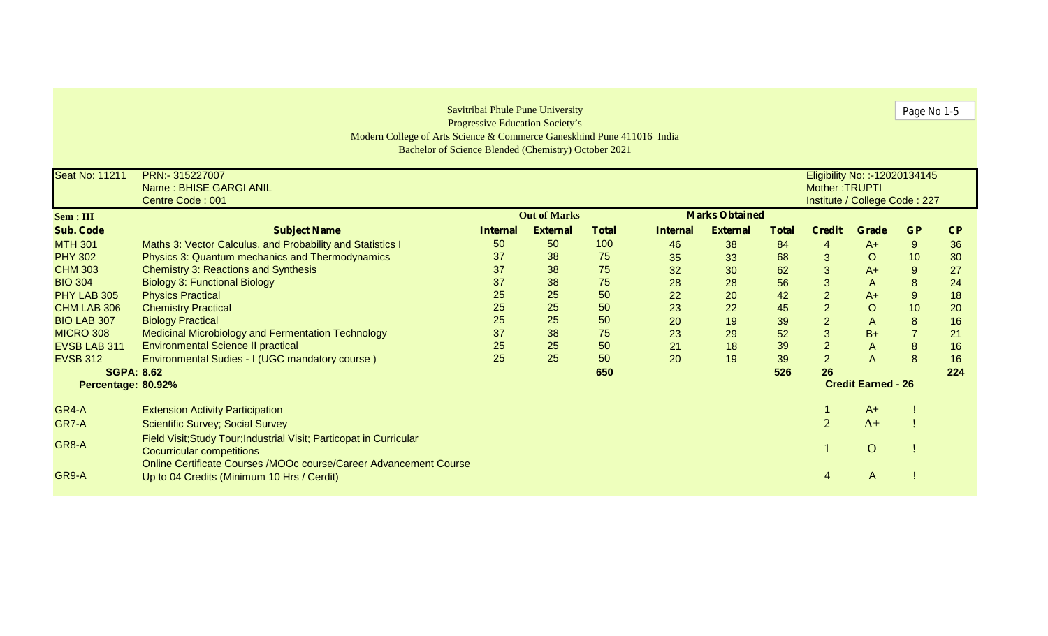| Savitribai Phule Pune University |                                                                        |                       |                                        |              |                 |                 |              |                |                                | Page No 1-5      |     |
|----------------------------------|------------------------------------------------------------------------|-----------------------|----------------------------------------|--------------|-----------------|-----------------|--------------|----------------|--------------------------------|------------------|-----|
|                                  |                                                                        |                       | <b>Progressive Education Society's</b> |              |                 |                 |              |                |                                |                  |     |
|                                  | Modern College of Arts Science & Commerce Ganeskhind Pune 411016 India |                       |                                        |              |                 |                 |              |                |                                |                  |     |
|                                  | Bachelor of Science Blended (Chemistry) October 2021                   |                       |                                        |              |                 |                 |              |                |                                |                  |     |
| <b>Seat No: 11211</b>            | PRN:- 315227007                                                        |                       |                                        |              |                 |                 |              |                | Eligibility No: :- 12020134145 |                  |     |
|                                  | Name: BHISE GARGI ANIL                                                 |                       |                                        |              |                 |                 |              | Mother: TRUPTI |                                |                  |     |
|                                  | Centre Code: 001                                                       |                       |                                        |              |                 |                 |              |                | Institute / College Code: 227  |                  |     |
| Sem : III                        |                                                                        | <b>Marks Obtained</b> |                                        |              |                 |                 |              |                |                                |                  |     |
| <b>Sub. Code</b>                 | <b>Subject Name</b>                                                    | <b>Internal</b>       | <b>External</b>                        | <b>Total</b> | <b>Internal</b> | <b>External</b> | <b>Total</b> | <b>Credit</b>  | <b>Grade</b>                   | <b>GP</b>        | CP  |
| <b>MTH 301</b>                   | Maths 3: Vector Calculus, and Probability and Statistics I             | 50                    | 50                                     | 100          | 46              | 38              | 84           | 4              | $A+$                           | $\boldsymbol{9}$ | 36  |
| <b>PHY 302</b>                   | Physics 3: Quantum mechanics and Thermodynamics                        | 37                    | 38                                     | 75           | 35              | 33              | 68           | 3              | $\circ$                        | 10               | 30  |
| <b>CHM 303</b>                   | <b>Chemistry 3: Reactions and Synthesis</b>                            | 37                    | 38                                     | 75           | 32              | 30              | 62           | 3              | $A+$                           | $\boldsymbol{9}$ | 27  |
| <b>BIO 304</b>                   | <b>Biology 3: Functional Biology</b>                                   | 37                    | 38                                     | 75           | 28              | 28              | 56           | 3              | $\mathsf{A}$                   | $\bf 8$          | 24  |
| PHY LAB 305                      | <b>Physics Practical</b>                                               | 25                    | 25                                     | 50           | 22              | 20              | 42           | $\overline{2}$ | $A+$                           | $\boldsymbol{9}$ | 18  |
| CHM LAB 306                      | <b>Chemistry Practical</b>                                             | 25                    | 25                                     | 50           | 23              | 22              | 45           | $\overline{2}$ | $\mathsf O$                    | 10               | 20  |
| <b>BIO LAB 307</b>               | <b>Biology Practical</b>                                               | 25                    | 25                                     | 50           | 20              | 19              | 39           | $\overline{2}$ | $\overline{A}$                 | $\bf{8}$         | 16  |
| <b>MICRO 308</b>                 | Medicinal Microbiology and Fermentation Technology                     | 37                    | 38                                     | 75           | 23              | 29              | 52           | 3              | $B+$                           | $\overline{7}$   | 21  |
| EVSB LAB 311                     | <b>Environmental Science II practical</b>                              | 25                    | 25                                     | 50           | 21              | 18              | 39           | $\overline{2}$ | $\overline{A}$                 | $\bf 8$          | 16  |
| <b>EVSB 312</b>                  | Environmental Sudies - I (UGC mandatory course)                        | 25                    | 25                                     | 50           | 20              | 19              | 39           | $\overline{2}$ | $\overline{A}$                 | 8                | 16  |
| <b>SGPA: 8.62</b>                |                                                                        |                       |                                        | 650          |                 |                 | 526          | 26             |                                |                  | 224 |
| Percentage: 80.92%               |                                                                        |                       |                                        |              |                 |                 |              |                | <b>Credit Earned - 26</b>      |                  |     |
| GR4-A                            | <b>Extension Activity Participation</b>                                |                       |                                        |              |                 |                 |              |                | $A+$                           |                  |     |
| GR7-A                            | <b>Scientific Survey; Social Survey</b>                                |                       |                                        |              |                 |                 |              | $\overline{2}$ | $A+$                           |                  |     |
|                                  | Field Visit; Study Tour; Industrial Visit; Particopat in Curricular    |                       |                                        |              |                 |                 |              |                |                                |                  |     |
| GR8-A                            | <b>Cocurricular competitions</b>                                       |                       |                                        |              |                 |                 |              |                | $\mathbf O$                    |                  |     |
|                                  | Online Certificate Courses /MOOc course/Career Advancement Course      |                       |                                        |              |                 |                 |              |                |                                |                  |     |
| GR9-A                            | Up to 04 Credits (Minimum 10 Hrs / Cerdit)                             |                       |                                        |              |                 |                 |              | $\overline{4}$ | A                              |                  |     |
|                                  |                                                                        |                       |                                        |              |                 |                 |              |                |                                |                  |     |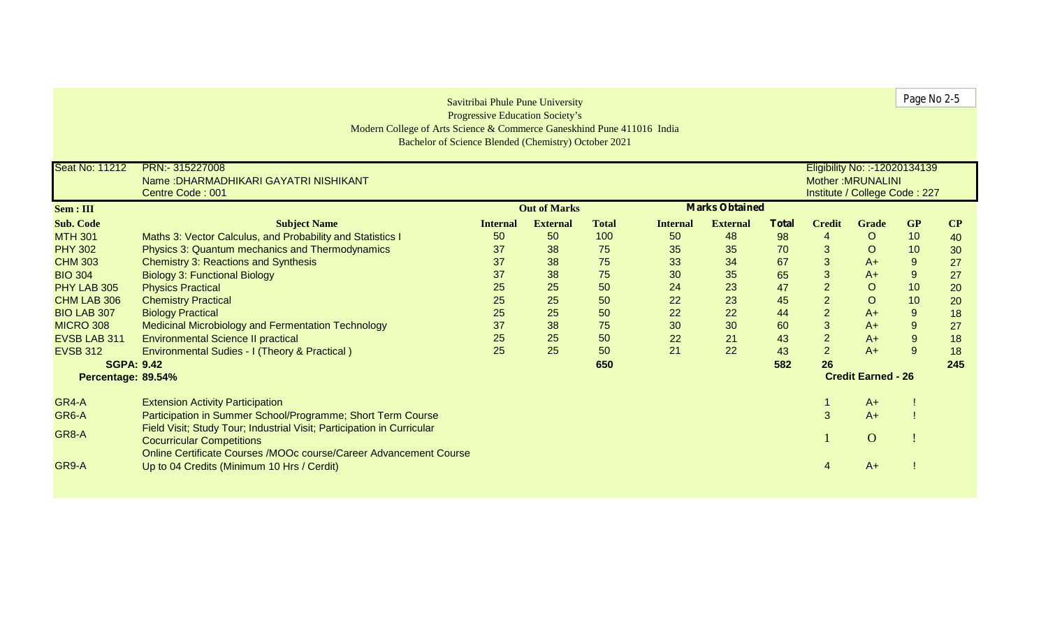|                     |                                                                        |                 | Savitribai Phule Pune University       |              |                 |                       |              |                |                                | Page No 2-5      |     |
|---------------------|------------------------------------------------------------------------|-----------------|----------------------------------------|--------------|-----------------|-----------------------|--------------|----------------|--------------------------------|------------------|-----|
|                     |                                                                        |                 | <b>Progressive Education Society's</b> |              |                 |                       |              |                |                                |                  |     |
|                     | Modern College of Arts Science & Commerce Ganeskhind Pune 411016 India |                 |                                        |              |                 |                       |              |                |                                |                  |     |
|                     | Bachelor of Science Blended (Chemistry) October 2021                   |                 |                                        |              |                 |                       |              |                |                                |                  |     |
| Seat No: 11212      | PRN:- 315227008                                                        |                 |                                        |              |                 |                       |              |                | Eligibility No: :- 12020134139 |                  |     |
|                     | Name: DHARMADHIKARI GAYATRI NISHIKANT                                  |                 |                                        |              |                 |                       |              |                | <b>Mother: MRUNALINI</b>       |                  |     |
|                     | Centre Code: 001                                                       |                 |                                        |              |                 |                       |              |                | Institute / College Code: 227  |                  |     |
| Sem : III           |                                                                        |                 | <b>Out of Marks</b>                    |              |                 | <b>Marks Obtained</b> |              |                |                                |                  |     |
| <b>Sub. Code</b>    | <b>Subject Name</b>                                                    | <b>Internal</b> | <b>External</b>                        | <b>Total</b> | <b>Internal</b> | <b>External</b>       | <b>Total</b> | <b>Credit</b>  | <b>Grade</b>                   | <b>GP</b>        | CP  |
| <b>MTH 301</b>      | Maths 3: Vector Calculus, and Probability and Statistics I             | 50              | 50                                     | 100          | 50              | 48                    | 98           | $\overline{4}$ | $\circ$                        | 10               | 40  |
| <b>PHY 302</b>      | Physics 3: Quantum mechanics and Thermodynamics                        | 37              | 38                                     | 75           | 35              | 35                    | 70           | 3              | $\circ$                        | 10               | 30  |
| <b>CHM 303</b>      | <b>Chemistry 3: Reactions and Synthesis</b>                            | 37              | 38                                     | 75           | 33              | 34                    | 67           | $\mathbf{3}$   | $A+$                           | 9                | 27  |
| <b>BIO 304</b>      | <b>Biology 3: Functional Biology</b>                                   | 37              | 38                                     | 75           | 30              | 35                    | 65           | $\mathbf{3}$   | $A+$                           | 9                | 27  |
| PHY LAB 305         | <b>Physics Practical</b>                                               | 25              | 25                                     | 50           | 24              | 23                    | 47           | $\overline{2}$ | $\circ$                        | 10               | 20  |
| CHM LAB 306         | <b>Chemistry Practical</b>                                             | 25              | 25                                     | 50           | 22              | 23                    | 45           | $\overline{2}$ | $\circ$                        | 10               | 20  |
| <b>BIO LAB 307</b>  | <b>Biology Practical</b>                                               | 25              | 25                                     | 50           | 22              | 22                    | 44           | $\overline{2}$ | $A+$                           | 9                | 18  |
| <b>MICRO 308</b>    | <b>Medicinal Microbiology and Fermentation Technology</b>              | 37              | 38                                     | 75           | 30              | 30                    | 60           | $\mathbf{3}$   | $A+$                           | $\boldsymbol{9}$ | 27  |
| <b>EVSB LAB 311</b> | <b>Environmental Science II practical</b>                              | 25              | 25                                     | 50           | 22              | 21                    | 43           | $\overline{2}$ | $A+$                           | $\boldsymbol{9}$ | 18  |
| <b>EVSB 312</b>     | Environmental Sudies - I (Theory & Practical)                          | 25              | 25                                     | 50           | 21              | 22                    | 43           | $\overline{2}$ | $A+$                           | 9                | 18  |
| <b>SGPA: 9.42</b>   |                                                                        |                 |                                        | 650          |                 |                       | 582          | 26             |                                |                  | 245 |
| Percentage: 89.54%  |                                                                        |                 |                                        |              |                 |                       |              |                | <b>Credit Earned - 26</b>      |                  |     |
| GR4-A               | <b>Extension Activity Participation</b>                                |                 |                                        |              |                 |                       |              |                | $A+$                           |                  |     |
| GR6-A               | Participation in Summer School/Programme; Short Term Course            |                 |                                        |              |                 |                       |              | 3              | $A+$                           |                  |     |
|                     | Field Visit; Study Tour; Industrial Visit; Participation in Curricular |                 |                                        |              |                 |                       |              |                |                                |                  |     |
| GR8-A               | <b>Cocurricular Competitions</b>                                       |                 |                                        |              |                 |                       |              |                | $\mathbf{O}$                   |                  |     |
|                     | Online Certificate Courses /MOOc course/Career Advancement Course      |                 |                                        |              |                 |                       |              |                |                                |                  |     |
| GR9-A               | Up to 04 Credits (Minimum 10 Hrs / Cerdit)                             |                 |                                        |              |                 |                       |              |                | $A+$                           |                  |     |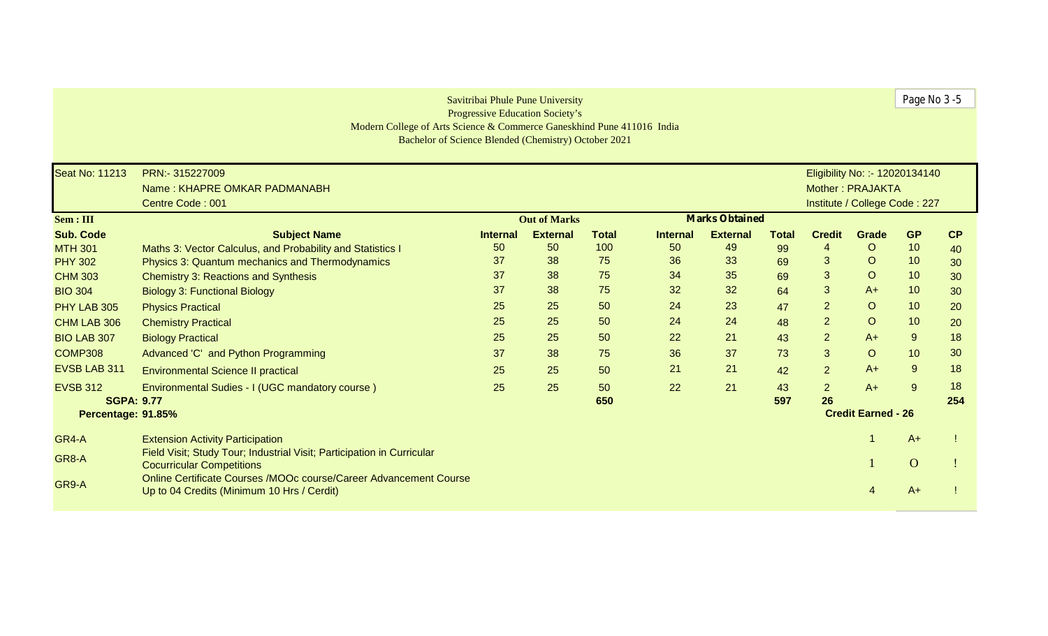|                       | Modern College of Arts Science & Commerce Ganeskhind Pune 411016 India<br>Bachelor of Science Blended (Chemistry) October 2021 |                 | Savitribai Phule Pune University<br><b>Progressive Education Society's</b> |              |                 |                       |              |                |                                | Page No 3-5    |     |
|-----------------------|--------------------------------------------------------------------------------------------------------------------------------|-----------------|----------------------------------------------------------------------------|--------------|-----------------|-----------------------|--------------|----------------|--------------------------------|----------------|-----|
| <b>Seat No: 11213</b> | PRN:- 315227009                                                                                                                |                 |                                                                            |              |                 |                       |              |                | Eligibility No: :- 12020134140 |                |     |
|                       | Name: KHAPRE OMKAR PADMANABH                                                                                                   |                 |                                                                            |              |                 |                       |              |                | Mother: PRAJAKTA               |                |     |
|                       | Centre Code: 001                                                                                                               |                 |                                                                            |              |                 |                       |              |                | Institute / College Code: 227  |                |     |
| Sem : III             |                                                                                                                                |                 | <b>Out of Marks</b>                                                        |              |                 | <b>Marks Obtained</b> |              |                |                                |                |     |
| <b>Sub. Code</b>      | <b>Subject Name</b>                                                                                                            | <b>Internal</b> | <b>External</b>                                                            | <b>Total</b> | <b>Internal</b> | <b>External</b>       | <b>Total</b> | <b>Credit</b>  | Grade                          | <b>GP</b>      | CP  |
| <b>MTH 301</b>        | Maths 3: Vector Calculus, and Probability and Statistics I                                                                     | 50              | 50                                                                         | 100          | 50              | 49                    | 99           | 4              | $\circ$                        | 10             | 40  |
| <b>PHY 302</b>        | Physics 3: Quantum mechanics and Thermodynamics                                                                                | 37              | 38                                                                         | 75           | 36              | 33                    | 69           | 3              | $\circ$                        | 10             | 30  |
| <b>CHM 303</b>        | <b>Chemistry 3: Reactions and Synthesis</b>                                                                                    | 37              | 38                                                                         | 75           | 34              | 35                    | 69           | 3              | $\circ$                        | 10             | 30  |
| <b>BIO 304</b>        | <b>Biology 3: Functional Biology</b>                                                                                           | 37              | 38                                                                         | 75           | 32              | 32                    | 64           | 3              | $A+$                           | 10             | 30  |
| PHY LAB 305           | <b>Physics Practical</b>                                                                                                       | 25              | 25                                                                         | 50           | 24              | 23                    | 47           | $\overline{2}$ | $\circ$                        | 10             | 20  |
| CHM LAB 306           | <b>Chemistry Practical</b>                                                                                                     | 25              | 25                                                                         | 50           | 24              | 24                    | 48           | $\overline{2}$ | $\circ$                        | 10             | 20  |
| <b>BIO LAB 307</b>    | <b>Biology Practical</b>                                                                                                       | 25              | 25                                                                         | 50           | 22              | 21                    | 43           | $\overline{2}$ | $A+$                           | 9              | 18  |
| <b>COMP308</b>        | Advanced 'C' and Python Programming                                                                                            | 37              | 38                                                                         | 75           | 36              | 37                    | 73           | 3              | $\circ$                        | 10             | 30  |
| <b>EVSB LAB 311</b>   | <b>Environmental Science II practical</b>                                                                                      | 25              | 25                                                                         | 50           | 21              | 21                    | 42           | $\overline{2}$ | $A+$                           | 9              | 18  |
| <b>EVSB 312</b>       | Environmental Sudies - I (UGC mandatory course)                                                                                | 25              | 25                                                                         | 50           | 22              | 21                    | 43           | 2 <sup>1</sup> | $A+$                           | 9              | 18  |
| <b>SGPA: 9.77</b>     |                                                                                                                                |                 |                                                                            | 650          |                 |                       | 597          | 26             |                                |                | 254 |
| Percentage: 91.85%    |                                                                                                                                |                 |                                                                            |              |                 |                       |              |                | <b>Credit Earned - 26</b>      |                |     |
| GR4-A                 | <b>Extension Activity Participation</b>                                                                                        |                 |                                                                            |              |                 |                       |              |                |                                | $A+$           |     |
| GR8-A                 | Field Visit; Study Tour; Industrial Visit; Participation in Curricular<br><b>Cocurricular Competitions</b>                     |                 |                                                                            |              |                 |                       |              |                |                                | $\overline{O}$ |     |
| GR9-A                 | Online Certificate Courses /MOOc course/Career Advancement Course<br>Up to 04 Credits (Minimum 10 Hrs / Cerdit)                |                 |                                                                            |              |                 |                       |              |                |                                | $A+$           |     |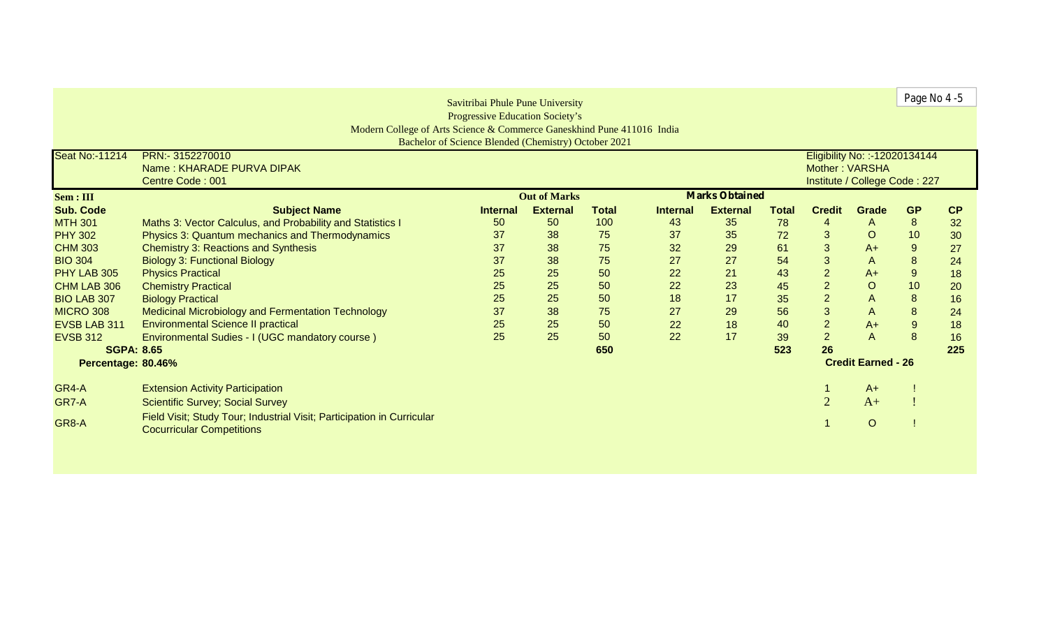| Savitribai Phule Pune University |                                                                                                            |                                              |                 |              |                 |                 |              |                |                                | Page No 4 -5     |           |
|----------------------------------|------------------------------------------------------------------------------------------------------------|----------------------------------------------|-----------------|--------------|-----------------|-----------------|--------------|----------------|--------------------------------|------------------|-----------|
|                                  |                                                                                                            | <b>Progressive Education Society's</b>       |                 |              |                 |                 |              |                |                                |                  |           |
|                                  | Modern College of Arts Science & Commerce Ganeskhind Pune 411016 India                                     |                                              |                 |              |                 |                 |              |                |                                |                  |           |
|                                  | Bachelor of Science Blended (Chemistry) October 2021                                                       |                                              |                 |              |                 |                 |              |                |                                |                  |           |
| Seat No:-11214                   | PRN:- 3152270010                                                                                           |                                              |                 |              |                 |                 |              |                | Eligibility No: :- 12020134144 |                  |           |
|                                  | Name: KHARADE PURVA DIPAK                                                                                  |                                              |                 |              |                 |                 |              | Mother: VARSHA |                                |                  |           |
|                                  | Centre Code: 001                                                                                           |                                              |                 |              |                 |                 |              |                | Institute / College Code: 227  |                  |           |
| Sem: III                         |                                                                                                            | <b>Marks Obtained</b><br><b>Out of Marks</b> |                 |              |                 |                 |              |                |                                |                  |           |
| <b>Sub. Code</b>                 | <b>Subject Name</b>                                                                                        | <b>Internal</b>                              | <b>External</b> | <b>Total</b> | <b>Internal</b> | <b>External</b> | <b>Total</b> | <b>Credit</b>  | Grade                          | <b>GP</b>        | <b>CP</b> |
| <b>MTH 301</b>                   | Maths 3: Vector Calculus, and Probability and Statistics I                                                 | 50                                           | 50              | 100          | 43              | 35              | 78           | $\overline{4}$ | $\mathsf{A}$                   | 8                | 32        |
| <b>PHY 302</b>                   | Physics 3: Quantum mechanics and Thermodynamics                                                            | 37                                           | 38              | 75           | 37              | 35              | 72           | 3              | $\circ$                        | 10               | 30        |
| <b>CHM 303</b>                   | <b>Chemistry 3: Reactions and Synthesis</b>                                                                | 37                                           | 38              | 75           | 32              | 29              | 61           | $\mathbf{3}$   | $A+$                           | 9                | 27        |
| <b>BIO 304</b>                   | <b>Biology 3: Functional Biology</b>                                                                       | 37                                           | 38              | 75           | 27              | 27              | 54           | $\mathsf 3$    | $\overline{A}$                 | $\bf 8$          | 24        |
| PHY LAB 305                      | <b>Physics Practical</b>                                                                                   | 25                                           | 25              | 50           | 22              | 21              | 43           | $\overline{2}$ | $A+$                           | $\boldsymbol{9}$ | 18        |
| CHM LAB 306                      | <b>Chemistry Practical</b>                                                                                 | 25                                           | 25              | 50           | 22              | 23              | 45           | $\overline{2}$ | $\circ$                        | 10               | 20        |
| <b>BIO LAB 307</b>               | <b>Biology Practical</b>                                                                                   | 25                                           | 25              | 50           | 18              | 17              | 35           | $\overline{2}$ | $\mathsf{A}$                   | 8                | 16        |
| <b>MICRO 308</b>                 | Medicinal Microbiology and Fermentation Technology                                                         | 37                                           | 38              | 75           | 27              | 29              | 56           | $\overline{3}$ | $\mathsf{A}$                   | 8                | 24        |
| EVSB LAB 311                     | <b>Environmental Science II practical</b>                                                                  | 25                                           | 25              | 50           | 22              | 18              | 40           | $\overline{2}$ | $A+$                           | $9\,$            | 18        |
| <b>EVSB 312</b>                  | Environmental Sudies - I (UGC mandatory course)                                                            | 25                                           | 25              | 50           | 22              | 17              | 39           | 2              | $\overline{A}$                 | 8                | 16        |
| <b>SGPA: 8.65</b>                |                                                                                                            |                                              |                 | 650          |                 |                 | 523          | 26             |                                |                  | 225       |
| Percentage: 80.46%               | <b>Credit Earned - 26</b>                                                                                  |                                              |                 |              |                 |                 |              |                |                                |                  |           |
| GR4-A                            | <b>Extension Activity Participation</b>                                                                    |                                              |                 |              |                 |                 |              |                | $A+$                           |                  |           |
| GR7-A                            | <b>Scientific Survey; Social Survey</b>                                                                    |                                              |                 |              |                 |                 |              |                | $A+$                           |                  |           |
| GR8-A                            | Field Visit; Study Tour; Industrial Visit; Participation in Curricular<br><b>Cocurricular Competitions</b> |                                              |                 |              |                 |                 |              |                | $\circ$                        |                  |           |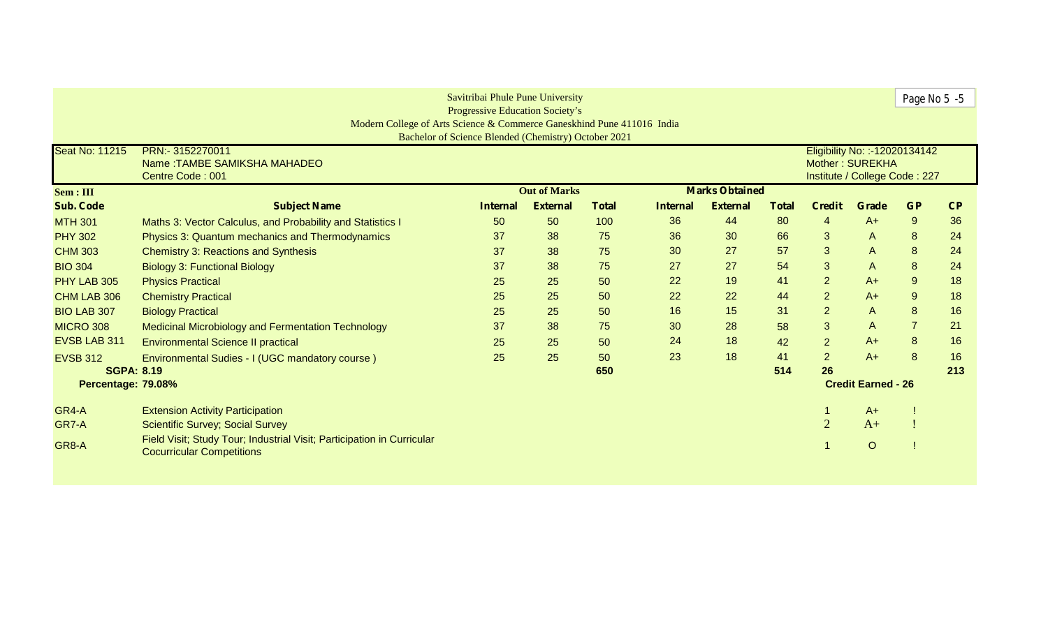| Savitribai Phule Pune University<br><b>Progressive Education Society's</b><br>Modern College of Arts Science & Commerce Ganeskhind Pune 411016 India |                                                                                                            |                 |                     |              |                 |                       |              |                 |                                | Page No 5 -5   |     |
|------------------------------------------------------------------------------------------------------------------------------------------------------|------------------------------------------------------------------------------------------------------------|-----------------|---------------------|--------------|-----------------|-----------------------|--------------|-----------------|--------------------------------|----------------|-----|
|                                                                                                                                                      | Bachelor of Science Blended (Chemistry) October 2021                                                       |                 |                     |              |                 |                       |              |                 |                                |                |     |
| <b>Seat No: 11215</b>                                                                                                                                | PRN:- 3152270011                                                                                           |                 |                     |              |                 |                       |              |                 | Eligibility No: :- 12020134142 |                |     |
|                                                                                                                                                      | Name: TAMBE SAMIKSHA MAHADEO<br>Centre Code: 001                                                           |                 |                     |              |                 |                       |              | Mother: SUREKHA | Institute / College Code: 227  |                |     |
| Sem : III                                                                                                                                            |                                                                                                            |                 | <b>Out of Marks</b> |              |                 | <b>Marks Obtained</b> |              |                 |                                |                |     |
| <b>Sub. Code</b>                                                                                                                                     | <b>Subject Name</b>                                                                                        | <b>Internal</b> | <b>External</b>     | <b>Total</b> | <b>Internal</b> | <b>External</b>       | <b>Total</b> | <b>Credit</b>   | Grade                          | <b>GP</b>      | CP  |
| <b>MTH 301</b>                                                                                                                                       | Maths 3: Vector Calculus, and Probability and Statistics I                                                 | 50              | 50                  | 100          | 36              | 44                    | 80           | $\overline{4}$  | $A+$                           | 9              | 36  |
| <b>PHY 302</b>                                                                                                                                       | Physics 3: Quantum mechanics and Thermodynamics                                                            | 37              | 38                  | 75           | 36              | 30                    | 66           | 3               | $\mathsf{A}$                   | 8              | 24  |
| <b>CHM 303</b>                                                                                                                                       | <b>Chemistry 3: Reactions and Synthesis</b>                                                                | 37              | 38                  | 75           | 30              | 27                    | 57           | 3               | $\mathsf{A}$                   | 8              | 24  |
| <b>BIO 304</b>                                                                                                                                       | <b>Biology 3: Functional Biology</b>                                                                       | 37              | 38                  | 75           | 27              | 27                    | 54           | 3               | $\mathsf{A}$                   | 8              | 24  |
| PHY LAB 305                                                                                                                                          | <b>Physics Practical</b>                                                                                   | 25              | 25                  | 50           | 22              | 19                    | 41           | $\overline{2}$  | $A+$                           | $\overline{9}$ | 18  |
| CHM LAB 306                                                                                                                                          | <b>Chemistry Practical</b>                                                                                 | 25              | 25                  | 50           | 22              | 22                    | 44           | $\overline{2}$  | $A+$                           | $\overline{9}$ | 18  |
| <b>BIO LAB 307</b>                                                                                                                                   | <b>Biology Practical</b>                                                                                   | 25              | 25                  | 50           | 16              | 15                    | 31           | $\overline{2}$  | $\mathsf{A}$                   | 8              | 16  |
| <b>MICRO 308</b>                                                                                                                                     | <b>Medicinal Microbiology and Fermentation Technology</b>                                                  | 37              | 38                  | 75           | 30              | 28                    | 58           | 3               | $\mathsf{A}$                   | $\overline{7}$ | 21  |
| EVSB LAB 311                                                                                                                                         | <b>Environmental Science II practical</b>                                                                  | 25              | 25                  | 50           | 24              | 18                    | 42           | $\overline{2}$  | $A+$                           | 8              | 16  |
| <b>EVSB 312</b>                                                                                                                                      | Environmental Sudies - I (UGC mandatory course)                                                            | 25              | 25                  | 50           | 23              | 18                    | 41           | $\overline{2}$  | $A+$                           | 8              | 16  |
| <b>SGPA: 8.19</b>                                                                                                                                    |                                                                                                            |                 |                     | 650          |                 |                       | 514          | 26              |                                |                | 213 |
|                                                                                                                                                      | Percentage: 79.08%                                                                                         |                 |                     |              |                 |                       |              |                 | <b>Credit Earned - 26</b>      |                |     |
| GR4-A                                                                                                                                                | <b>Extension Activity Participation</b>                                                                    |                 |                     |              |                 |                       |              |                 | $A+$                           |                |     |
| GR7-A                                                                                                                                                | <b>Scientific Survey; Social Survey</b>                                                                    |                 |                     |              |                 |                       |              | $\mathfrak{D}$  | $A+$                           |                |     |
| GR8-A                                                                                                                                                | Field Visit; Study Tour; Industrial Visit; Participation in Curricular<br><b>Cocurricular Competitions</b> |                 |                     |              |                 |                       |              |                 | $\circ$                        |                |     |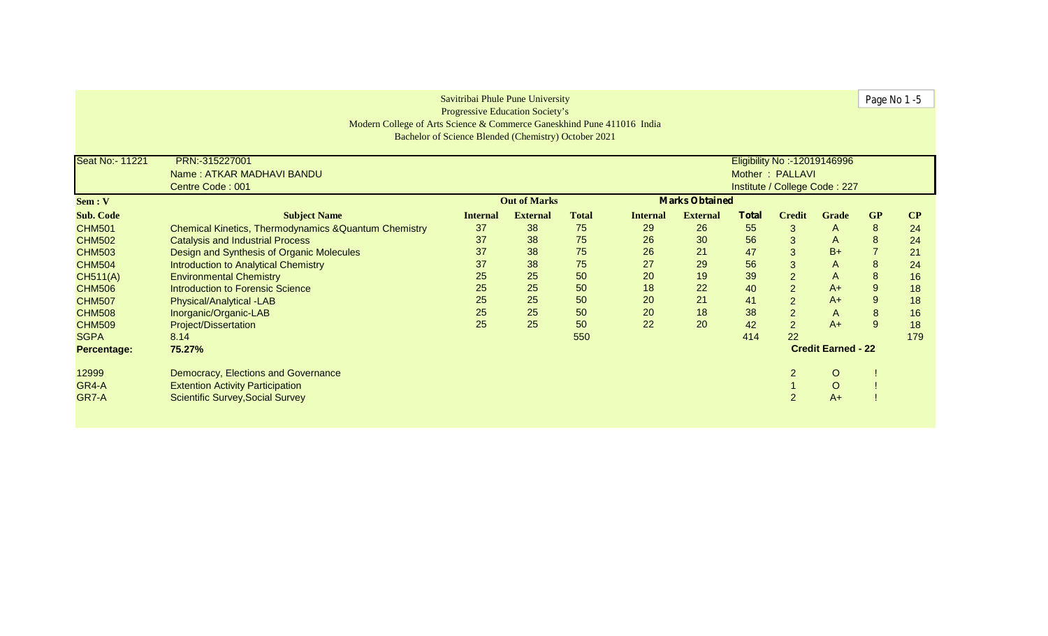|                  |                                                                        | Savitribai Phule Pune University                     |                     |              |                 |                       |              |                                                  |                | Page No 1-5      |          |
|------------------|------------------------------------------------------------------------|------------------------------------------------------|---------------------|--------------|-----------------|-----------------------|--------------|--------------------------------------------------|----------------|------------------|----------|
|                  | Modern College of Arts Science & Commerce Ganeskhind Pune 411016 India | <b>Progressive Education Society's</b>               |                     |              |                 |                       |              |                                                  |                |                  |          |
|                  |                                                                        | Bachelor of Science Blended (Chemistry) October 2021 |                     |              |                 |                       |              |                                                  |                |                  |          |
|                  |                                                                        |                                                      |                     |              |                 |                       |              |                                                  |                |                  |          |
| Seat No:- 11221  | PRN:-315227001<br>Name: ATKAR MADHAVI BANDU                            |                                                      |                     |              |                 |                       |              | Eligibility No :- 12019146996<br>Mother: PALLAVI |                |                  |          |
|                  | Centre Code: 001                                                       |                                                      |                     |              |                 |                       |              | Institute / College Code: 227                    |                |                  |          |
| Sem : V          |                                                                        |                                                      | <b>Out of Marks</b> |              |                 | <b>Marks Obtained</b> |              |                                                  |                |                  |          |
| <b>Sub. Code</b> | <b>Subject Name</b>                                                    | <b>Internal</b>                                      | <b>External</b>     | <b>Total</b> | <b>Internal</b> | <b>External</b>       | <b>Total</b> | <b>Credit</b>                                    | <b>Grade</b>   | <b>GP</b>        | $\bf CP$ |
| <b>CHM501</b>    | <b>Chemical Kinetics, Thermodynamics &amp; Quantum Chemistry</b>       | 37                                                   | 38                  | 75           | 29              | 26                    | 55           | 3                                                | A              | 8                | 24       |
| <b>CHM502</b>    | <b>Catalysis and Industrial Process</b>                                | 37                                                   | 38                  | 75           | 26              | 30                    | 56           | 3                                                | $\mathsf{A}$   | $\boldsymbol{8}$ | 24       |
| <b>CHM503</b>    | Design and Synthesis of Organic Molecules                              | 37                                                   | 38                  | 75           | 26              | 21                    | 47           | 3                                                | $B+$           |                  | 21       |
| <b>CHM504</b>    | Introduction to Analytical Chemistry                                   | 37                                                   | 38                  | 75           | 27              | 29                    | 56           | 3                                                | A              | 8                | 24       |
| <b>CH511(A)</b>  | <b>Environmental Chemistry</b>                                         | 25                                                   | 25                  | 50           | 20              | 19                    | 39           | $\overline{2}$                                   | $\mathsf{A}$   | $\boldsymbol{8}$ | 16       |
| <b>CHM506</b>    | Introduction to Forensic Science                                       | 25                                                   | 25                  | 50           | 18              | 22                    | 40           | $\overline{2}$                                   | $A+$           | $\overline{9}$   | 18       |
| <b>CHM507</b>    | Physical/Analytical -LAB                                               | 25                                                   | 25                  | 50           | 20              | 21                    | 41           | $\overline{2}$                                   | $A+$           | 9                | 18       |
| <b>CHM508</b>    | Inorganic/Organic-LAB                                                  | 25                                                   | 25                  | 50           | 20              | 18                    | 38           | $\overline{2}$                                   | $\overline{A}$ | 8                | 16       |
| <b>CHM509</b>    | <b>Project/Dissertation</b>                                            | 25                                                   | 25                  | 50           | 22              | 20                    | 42           | $\overline{2}$                                   | $A+$           | $\overline{9}$   | 18       |
| <b>SGPA</b>      | 8.14                                                                   |                                                      |                     | 550          |                 |                       | 414          | 22                                               |                |                  | 179      |
| Percentage:      | <b>Credit Earned - 22</b><br>75.27%                                    |                                                      |                     |              |                 |                       |              |                                                  |                |                  |          |
| 12999            | Democracy, Elections and Governance                                    |                                                      |                     |              |                 |                       |              | 2                                                | $\circ$        |                  |          |
| GR4-A            | <b>Extention Activity Participation</b>                                |                                                      |                     |              |                 |                       |              |                                                  | $\circ$        |                  |          |
| GR7-A            | <b>Scientific Survey, Social Survey</b>                                |                                                      |                     |              |                 |                       |              | $\overline{2}$                                   | $A+$           |                  |          |
|                  |                                                                        |                                                      |                     |              |                 |                       |              |                                                  |                |                  |          |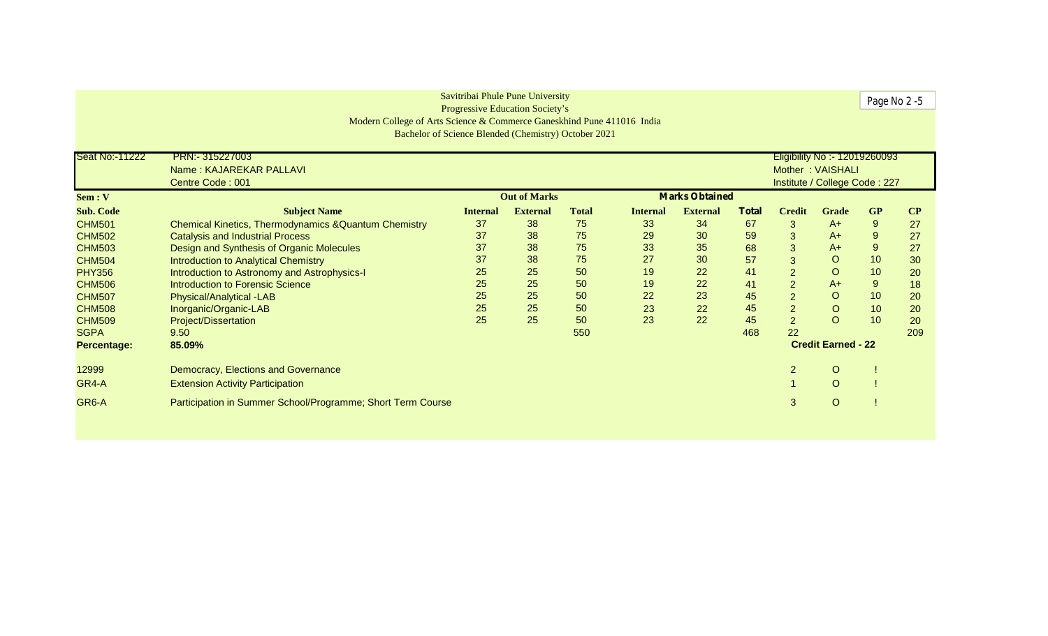| Savitribai Phule Pune University<br>Progressive Education Society's |                                                                        |                 |                     |              |                 |                       |              |                |                               |                | Page No 2 -5 |
|---------------------------------------------------------------------|------------------------------------------------------------------------|-----------------|---------------------|--------------|-----------------|-----------------------|--------------|----------------|-------------------------------|----------------|--------------|
|                                                                     |                                                                        |                 |                     |              |                 |                       |              |                |                               |                |              |
|                                                                     | Modern College of Arts Science & Commerce Ganeskhind Pune 411016 India |                 |                     |              |                 |                       |              |                |                               |                |              |
|                                                                     | Bachelor of Science Blended (Chemistry) October 2021                   |                 |                     |              |                 |                       |              |                |                               |                |              |
| <b>Seat No:-11222</b>                                               | PRN: 315227003                                                         |                 |                     |              |                 |                       |              |                | Eligibility No :- 12019260093 |                |              |
|                                                                     | Name: KAJAREKAR PALLAVI                                                |                 |                     |              |                 |                       |              |                | Mother: VAISHALI              |                |              |
|                                                                     | Centre Code: 001                                                       |                 |                     |              |                 |                       |              |                | Institute / College Code: 227 |                |              |
| Sem: V                                                              |                                                                        |                 | <b>Out of Marks</b> |              |                 | <b>Marks Obtained</b> |              |                |                               |                |              |
| <b>Sub. Code</b>                                                    | <b>Subject Name</b>                                                    | <b>Internal</b> | <b>External</b>     | <b>Total</b> | <b>Internal</b> | <b>External</b>       | <b>Total</b> | <b>Credit</b>  | Grade                         | <b>GP</b>      | $\bf CP$     |
| <b>CHM501</b>                                                       | Chemical Kinetics, Thermodynamics & Quantum Chemistry                  | 37              | 38                  | 75           | 33              | 34                    | 67           | 3              | $A+$                          | $\overline{9}$ | 27           |
| <b>CHM502</b>                                                       | <b>Catalysis and Industrial Process</b>                                | 37              | 38                  | 75           | 29              | 30                    | 59           | 3              | $A+$                          | 9              | 27           |
| <b>CHM503</b>                                                       | Design and Synthesis of Organic Molecules                              | 37              | 38                  | 75           | 33              | 35                    | 68           | 3              | $A+$                          | $9$            | 27           |
| <b>CHM504</b>                                                       | Introduction to Analytical Chemistry                                   | 37              | 38                  | 75           | 27              | 30                    | 57           | 3              | $\circ$                       | 10             | 30           |
| <b>PHY356</b>                                                       | Introduction to Astronomy and Astrophysics-I                           | 25              | 25                  | 50           | 19              | 22                    | 41           | $\overline{2}$ | $\circ$                       | 10             | 20           |
| <b>CHM506</b>                                                       | Introduction to Forensic Science                                       | 25              | 25                  | 50           | 19              | 22                    | 41           | $\overline{2}$ | $A+$                          | $9\,$          | 18           |
| <b>CHM507</b>                                                       | Physical/Analytical -LAB                                               | 25              | 25                  | 50           | 22              | 23                    | 45           | $\overline{2}$ | $\circ$                       | 10             | 20           |
| <b>CHM508</b>                                                       | Inorganic/Organic-LAB                                                  | 25              | 25                  | 50           | 23              | 22                    | 45           | $\overline{2}$ | $\circ$                       | 10             | 20           |
| <b>CHM509</b>                                                       | Project/Dissertation                                                   | 25              | 25                  | 50           | 23              | 22                    | 45           | $\overline{2}$ | $\overline{O}$                | 10             | 20           |
| <b>SGPA</b>                                                         | 9.50                                                                   |                 |                     | 550          |                 |                       | 468          | 22             |                               |                | 209          |
| Percentage:                                                         | <b>Credit Earned - 22</b><br>85.09%                                    |                 |                     |              |                 |                       |              |                |                               |                |              |
| 12999                                                               | Democracy, Elections and Governance                                    |                 |                     |              |                 |                       |              | $\overline{c}$ | $\circ$                       |                |              |
| GR4-A                                                               | <b>Extension Activity Participation</b>                                |                 |                     |              |                 |                       |              |                | $\circ$                       |                |              |
| GR6-A                                                               | Participation in Summer School/Programme; Short Term Course            |                 |                     |              |                 |                       |              | 3              | $\circ$                       |                |              |
|                                                                     |                                                                        |                 |                     |              |                 |                       |              |                |                               |                |              |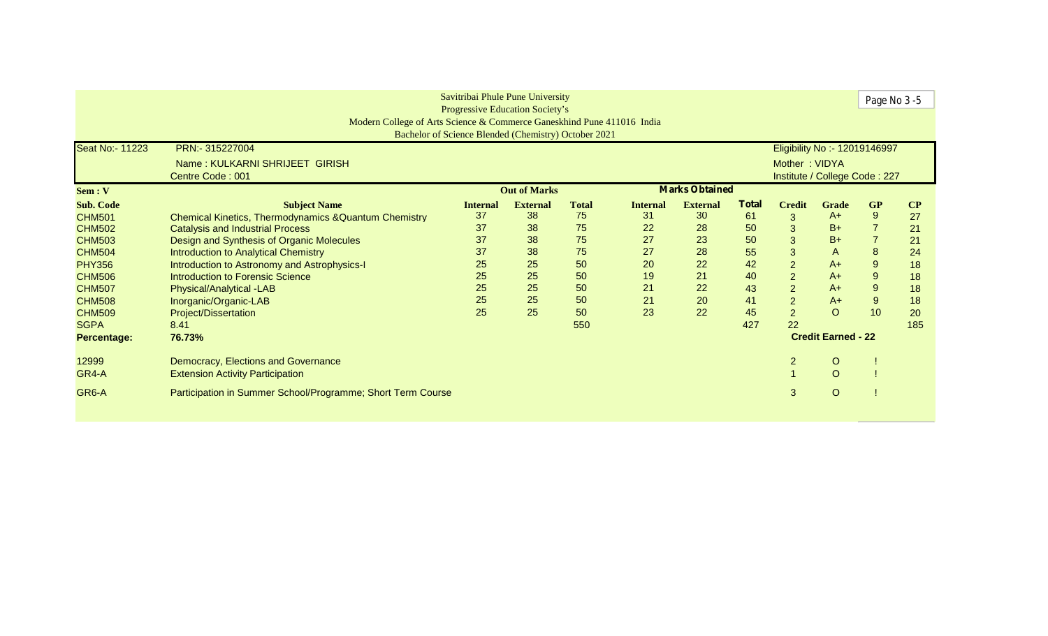| Savitribai Phule Pune University<br>Page No 3 -5<br><b>Progressive Education Society's</b> |                                                                        |                 |                     |              |                 |                       |              |                |                               |                           |          |
|--------------------------------------------------------------------------------------------|------------------------------------------------------------------------|-----------------|---------------------|--------------|-----------------|-----------------------|--------------|----------------|-------------------------------|---------------------------|----------|
|                                                                                            | Modern College of Arts Science & Commerce Ganeskhind Pune 411016 India |                 |                     |              |                 |                       |              |                |                               |                           |          |
|                                                                                            | Bachelor of Science Blended (Chemistry) October 2021                   |                 |                     |              |                 |                       |              |                |                               |                           |          |
| Seat No:- 11223                                                                            | PRN:- 315227004                                                        |                 |                     |              |                 |                       |              |                | Eligibility No :- 12019146997 |                           |          |
|                                                                                            | Name: KULKARNI SHRIJEET GIRISH                                         |                 |                     |              |                 |                       |              | Mother: VIDYA  |                               |                           |          |
|                                                                                            | Centre Code: 001                                                       |                 |                     |              |                 |                       |              |                | Institute / College Code: 227 |                           |          |
| Sem: V                                                                                     |                                                                        |                 | <b>Out of Marks</b> |              |                 | <b>Marks Obtained</b> |              |                |                               |                           |          |
| <b>Sub. Code</b>                                                                           | <b>Subject Name</b>                                                    | <b>Internal</b> | <b>External</b>     | <b>Total</b> | <b>Internal</b> | <b>External</b>       | <b>Total</b> | <b>Credit</b>  | <b>Grade</b>                  | <b>GP</b>                 | $\bf CP$ |
| <b>CHM501</b>                                                                              | Chemical Kinetics, Thermodynamics & Quantum Chemistry                  | 37              | 38                  | 75           | 31              | 30                    | 61           | 3              | $A+$                          | 9                         | 27       |
| <b>CHM502</b>                                                                              | <b>Catalysis and Industrial Process</b>                                | 37              | 38                  | 75           | 22              | 28                    | 50           | 3              | $B+$                          |                           | 21       |
| <b>CHM503</b>                                                                              | Design and Synthesis of Organic Molecules                              | 37              | 38                  | 75           | 27              | 23                    | 50           | 3              | $B+$                          |                           | 21       |
| <b>CHM504</b>                                                                              | Introduction to Analytical Chemistry                                   | 37              | 38                  | 75           | 27              | 28                    | 55           | 3              | A                             | 8                         | 24       |
| <b>PHY356</b>                                                                              | Introduction to Astronomy and Astrophysics-I                           | 25              | 25                  | 50           | 20              | 22                    | 42           | $\overline{2}$ | $A+$                          | 9                         | 18       |
| <b>CHM506</b>                                                                              | Introduction to Forensic Science                                       | 25              | 25                  | 50           | 19              | 21                    | 40           | $\overline{2}$ | $A+$                          | 9                         | 18       |
| <b>CHM507</b>                                                                              | Physical/Analytical -LAB                                               | 25              | 25                  | 50           | 21              | 22                    | 43           | $\overline{2}$ | $A+$                          | $\boldsymbol{9}$          | 18       |
| <b>CHM508</b>                                                                              | Inorganic/Organic-LAB                                                  | 25              | 25                  | 50           | 21              | 20                    | 41           | $\overline{2}$ | $A+$                          | 9                         | 18       |
| <b>CHM509</b>                                                                              | <b>Project/Dissertation</b>                                            | 25              | 25                  | 50           | 23              | 22                    | 45           | $\overline{2}$ | $\circ$                       | 10                        | 20       |
| <b>SGPA</b>                                                                                | 8.41                                                                   |                 |                     | 550          |                 |                       | 427          | 22             |                               |                           | 185      |
| Percentage:                                                                                | 76.73%                                                                 |                 |                     |              |                 |                       |              |                |                               | <b>Credit Earned - 22</b> |          |
| 12999                                                                                      | Democracy, Elections and Governance                                    |                 |                     |              |                 |                       |              | 2              | $\circ$                       |                           |          |
| GR4-A                                                                                      | <b>Extension Activity Participation</b>                                |                 |                     |              |                 |                       |              |                | $\circ$                       |                           |          |
| GR6-A                                                                                      | Participation in Summer School/Programme; Short Term Course            |                 |                     |              |                 |                       |              | 3              | $\circ$                       |                           |          |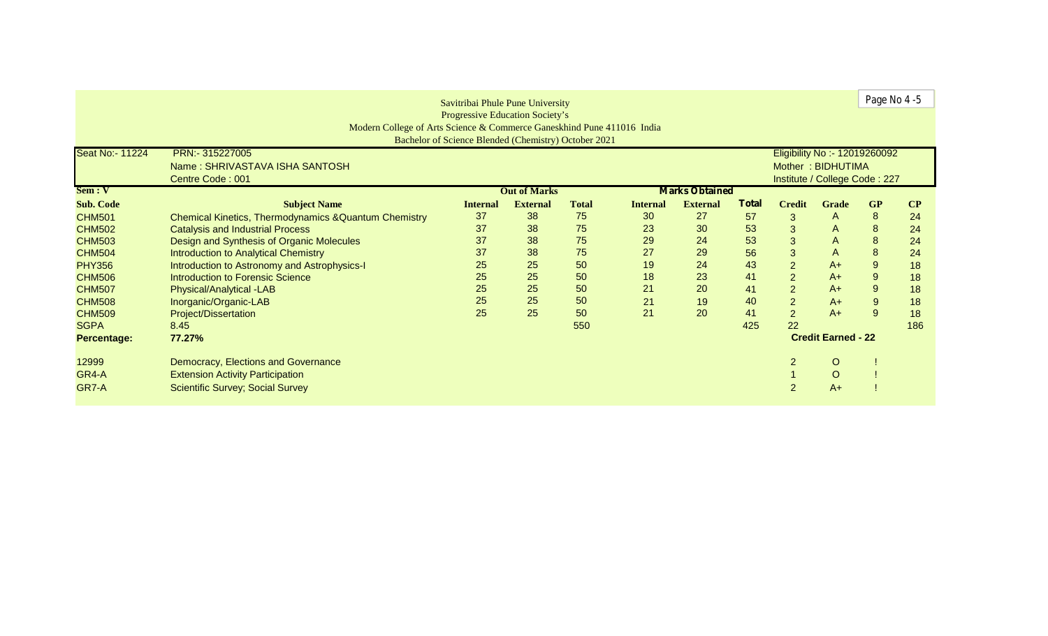| Page No 4-5<br>Savitribai Phule Pune University |                                                                        |                                                      |                     |                               |                 |                       |              |                |                               |                  |          |  |
|-------------------------------------------------|------------------------------------------------------------------------|------------------------------------------------------|---------------------|-------------------------------|-----------------|-----------------------|--------------|----------------|-------------------------------|------------------|----------|--|
|                                                 |                                                                        | <b>Progressive Education Society's</b>               |                     |                               |                 |                       |              |                |                               |                  |          |  |
|                                                 | Modern College of Arts Science & Commerce Ganeskhind Pune 411016 India |                                                      |                     |                               |                 |                       |              |                |                               |                  |          |  |
|                                                 |                                                                        | Bachelor of Science Blended (Chemistry) October 2021 |                     |                               |                 |                       |              |                |                               |                  |          |  |
| Seat No:- 11224                                 | PRN:- 315227005                                                        |                                                      |                     |                               |                 |                       |              |                | Eligibility No :- 12019260092 |                  |          |  |
|                                                 |                                                                        |                                                      |                     |                               |                 |                       |              |                | Mother: BIDHUTIMA             |                  |          |  |
|                                                 | Name: SHRIVASTAVA ISHA SANTOSH                                         |                                                      |                     |                               |                 |                       |              |                |                               |                  |          |  |
|                                                 | Centre Code: 001                                                       |                                                      |                     | Institute / College Code: 227 |                 |                       |              |                |                               |                  |          |  |
| Sem: V                                          |                                                                        |                                                      | <b>Out of Marks</b> |                               |                 | <b>Marks Obtained</b> |              |                |                               |                  |          |  |
| <b>Sub. Code</b>                                | <b>Subject Name</b>                                                    | <b>Internal</b>                                      | <b>External</b>     | <b>Total</b>                  | <b>Internal</b> | <b>External</b>       | <b>Total</b> | <b>Credit</b>  | <b>Grade</b>                  | <b>GP</b>        | $\bf CP$ |  |
| <b>CHM501</b>                                   | <b>Chemical Kinetics, Thermodynamics &amp; Quantum Chemistry</b>       | 37                                                   | 38                  | 75                            | 30              | 27                    | 57           | 3              | A                             | 8                | 24       |  |
| <b>CHM502</b>                                   | <b>Catalysis and Industrial Process</b>                                | 37                                                   | 38                  | 75                            | 23              | 30                    | 53           | 3              | A                             | 8                | 24       |  |
| <b>CHM503</b>                                   | Design and Synthesis of Organic Molecules                              | 37                                                   | 38                  | 75                            | 29              | 24                    | 53           | 3              | A                             | 8                | 24       |  |
| <b>CHM504</b>                                   | <b>Introduction to Analytical Chemistry</b>                            | 37                                                   | 38                  | 75                            | 27              | 29                    | 56           | 3              | $\overline{A}$                | 8                | 24       |  |
| <b>PHY356</b>                                   | Introduction to Astronomy and Astrophysics-I                           | 25                                                   | 25                  | 50                            | 19              | 24                    | 43           | $\overline{a}$ | $A+$                          | 9                | 18       |  |
| <b>CHM506</b>                                   | <b>Introduction to Forensic Science</b>                                | 25                                                   | 25                  | 50                            | 18              | 23                    | 41           | $\overline{2}$ | $A+$                          | 9                | 18       |  |
| <b>CHM507</b>                                   | Physical/Analytical -LAB                                               | 25                                                   | 25                  | 50                            | 21              | 20                    | 41           | $\overline{2}$ | $A+$                          | $\boldsymbol{9}$ | 18       |  |
| <b>CHM508</b>                                   | Inorganic/Organic-LAB                                                  | 25                                                   | 25                  | 50                            | 21              | 19                    | 40           | $\overline{2}$ | $A+$                          | 9                | 18       |  |
| <b>CHM509</b>                                   | <b>Project/Dissertation</b>                                            | 25                                                   | 25                  | 50                            | 21              | 20                    | 41           | $\overline{2}$ | $A+$                          | 9                | 18       |  |
| <b>SGPA</b>                                     | 8.45                                                                   |                                                      |                     | 550                           |                 |                       | 425          | 22             |                               |                  | 186      |  |
| Percentage:                                     | 77.27%                                                                 | <b>Credit Earned - 22</b>                            |                     |                               |                 |                       |              |                |                               |                  |          |  |
| 12999                                           | Democracy, Elections and Governance                                    |                                                      |                     |                               |                 |                       |              | 2              | $\circ$                       |                  |          |  |
| GR4-A                                           | <b>Extension Activity Participation</b>                                |                                                      |                     |                               |                 |                       |              |                | $\circ$                       |                  |          |  |
| GR7-A                                           | <b>Scientific Survey; Social Survey</b>                                |                                                      |                     |                               |                 |                       |              | $\overline{2}$ | $A+$                          |                  |          |  |
|                                                 |                                                                        |                                                      |                     |                               |                 |                       |              |                |                               |                  |          |  |